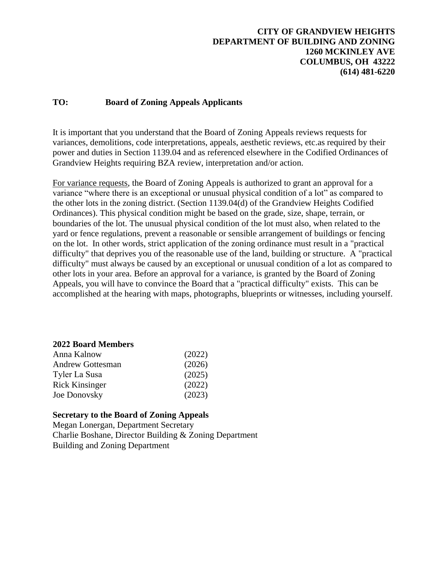### **CITY OF GRANDVIEW HEIGHTS DEPARTMENT OF BUILDING AND ZONING 1260 MCKINLEY AVE COLUMBUS, OH 43222 (614) 481-6220**

### **TO: Board of Zoning Appeals Applicants**

It is important that you understand that the Board of Zoning Appeals reviews requests for variances, demolitions, code interpretations, appeals, aesthetic reviews, etc.as required by their power and duties in Section 1139.04 and as referenced elsewhere in the Codified Ordinances of Grandview Heights requiring BZA review, interpretation and/or action.

For variance requests, the Board of Zoning Appeals is authorized to grant an approval for a variance "where there is an exceptional or unusual physical condition of a lot" as compared to the other lots in the zoning district. (Section 1139.04(d) of the Grandview Heights Codified Ordinances). This physical condition might be based on the grade, size, shape, terrain, or boundaries of the lot. The unusual physical condition of the lot must also, when related to the yard or fence regulations, prevent a reasonable or sensible arrangement of buildings or fencing on the lot. In other words, strict application of the zoning ordinance must result in a "practical difficulty" that deprives you of the reasonable use of the land, building or structure. A "practical difficulty" must always be caused by an exceptional or unusual condition of a lot as compared to other lots in your area. Before an approval for a variance, is granted by the Board of Zoning Appeals, you will have to convince the Board that a "practical difficulty" exists. This can be accomplished at the hearing with maps, photographs, blueprints or witnesses, including yourself.

### **2022 Board Members**

| Anna Kalnow             | (2022) |
|-------------------------|--------|
| <b>Andrew Gottesman</b> | (2026) |
| Tyler La Susa           | (2025) |
| <b>Rick Kinsinger</b>   | (2022) |
| Joe Donovsky            | (2023) |

### **Secretary to the Board of Zoning Appeals**

Megan Lonergan, Department Secretary Charlie Boshane, Director Building & Zoning Department Building and Zoning Department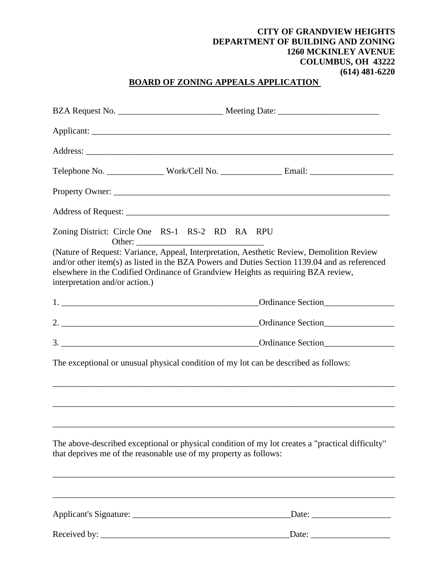### **CITY OF GRANDVIEW HEIGHTS DEPARTMENT OF BUILDING AND ZONING 1260 MCKINLEY AVENUE COLUMBUS, OH 43222 (614) 481-6220**

# **BOARD OF ZONING APPEALS APPLICATION**

|                                |                                                                                            | Telephone No. __________________Work/Cell No. ______________________Email: _________________________                                                                                                                                                                            |  |  |  |
|--------------------------------|--------------------------------------------------------------------------------------------|---------------------------------------------------------------------------------------------------------------------------------------------------------------------------------------------------------------------------------------------------------------------------------|--|--|--|
|                                |                                                                                            |                                                                                                                                                                                                                                                                                 |  |  |  |
|                                |                                                                                            |                                                                                                                                                                                                                                                                                 |  |  |  |
| Other:                         | Zoning District: Circle One RS-1 RS-2 RD RA RPU<br><u> 1989 - Johann Barbara, martxa a</u> |                                                                                                                                                                                                                                                                                 |  |  |  |
| interpretation and/or action.) |                                                                                            | (Nature of Request: Variance, Appeal, Interpretation, Aesthetic Review, Demolition Review<br>and/or other item(s) as listed in the BZA Powers and Duties Section 1139.04 and as referenced<br>elsewhere in the Codified Ordinance of Grandview Heights as requiring BZA review, |  |  |  |
|                                |                                                                                            | Ordinance Section                                                                                                                                                                                                                                                               |  |  |  |
|                                |                                                                                            |                                                                                                                                                                                                                                                                                 |  |  |  |
|                                | Ordinance Section                                                                          |                                                                                                                                                                                                                                                                                 |  |  |  |
|                                |                                                                                            | The exceptional or unusual physical condition of my lot can be described as follows:                                                                                                                                                                                            |  |  |  |
|                                |                                                                                            |                                                                                                                                                                                                                                                                                 |  |  |  |
|                                | that deprives me of the reasonable use of my property as follows:                          | The above-described exceptional or physical condition of my lot creates a "practical difficulty"<br>,我们也不能在这里的时候,我们也不能在这里的时候,我们也不能会在这里的时候,我们也不能会在这里的时候,我们也不能会在这里的时候,我们也不能会在这里的时候,我们也不                                                                                           |  |  |  |
|                                |                                                                                            |                                                                                                                                                                                                                                                                                 |  |  |  |
|                                |                                                                                            | $\text{Date:}$                                                                                                                                                                                                                                                                  |  |  |  |
|                                |                                                                                            |                                                                                                                                                                                                                                                                                 |  |  |  |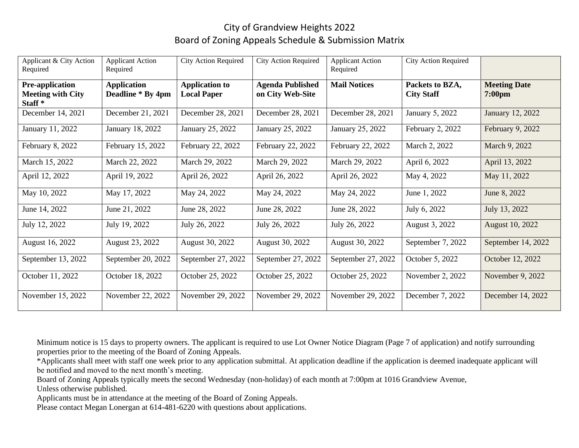# City of Grandview Heights 2022 Board of Zoning Appeals Schedule & Submission Matrix

| Applicant & City Action<br>Required                                      | <b>Applicant Action</b><br>Required     | <b>City Action Required</b>                 | <b>City Action Required</b>                 | <b>Applicant Action</b><br>Required | <b>City Action Required</b>          |                                         |
|--------------------------------------------------------------------------|-----------------------------------------|---------------------------------------------|---------------------------------------------|-------------------------------------|--------------------------------------|-----------------------------------------|
| <b>Pre-application</b><br><b>Meeting with City</b><br>Staff <sup>*</sup> | <b>Application</b><br>Deadline * By 4pm | <b>Application to</b><br><b>Local Paper</b> | <b>Agenda Published</b><br>on City Web-Site | <b>Mail Notices</b>                 | Packets to BZA,<br><b>City Staff</b> | <b>Meeting Date</b><br>$7:00 \text{pm}$ |
| December 14, 2021                                                        | December 21, 2021                       | December 28, 2021                           | December 28, 2021                           | December 28, 2021                   | January 5, 2022                      | January 12, 2022                        |
| January 11, 2022                                                         | January 18, 2022                        | January 25, 2022                            | January 25, 2022                            | January 25, 2022                    | February 2, 2022                     | February 9, 2022                        |
| February 8, 2022                                                         | February 15, 2022                       | February 22, 2022                           | February 22, 2022                           | February 22, 2022                   | March 2, 2022                        | March 9, 2022                           |
| March 15, 2022                                                           | March 22, 2022                          | March 29, 2022                              | March 29, 2022                              | March 29, 2022                      | April 6, 2022                        | April 13, 2022                          |
| April 12, 2022                                                           | April 19, 2022                          | April 26, 2022                              | April 26, 2022                              | April 26, 2022                      | May 4, 2022                          | May 11, 2022                            |
| May 10, 2022                                                             | May 17, 2022                            | May 24, 2022                                | May 24, 2022                                | May 24, 2022                        | June 1, 2022                         | June 8, 2022                            |
| June 14, 2022                                                            | June 21, 2022                           | June 28, 2022                               | June 28, 2022                               | June 28, 2022                       | July 6, 2022                         | July 13, 2022                           |
| July 12, 2022                                                            | July 19, 2022                           | July 26, 2022                               | July 26, 2022                               | July 26, 2022                       | August 3, 2022                       | August 10, 2022                         |
| August 16, 2022                                                          | August 23, 2022                         | August 30, 2022                             | August 30, 2022                             | August 30, 2022                     | September 7, 2022                    | September 14, 2022                      |
| September 13, 2022                                                       | September 20, 2022                      | September 27, 2022                          | September 27, 2022                          | September 27, 2022                  | October 5, 2022                      | October 12, 2022                        |
| October 11, 2022                                                         | October 18, 2022                        | October 25, 2022                            | October 25, 2022                            | October 25, 2022                    | November 2, 2022                     | November 9, 2022                        |
| November 15, 2022                                                        | November 22, 2022                       | November 29, 2022                           | November 29, 2022                           | November 29, 2022                   | December 7, 2022                     | December 14, 2022                       |

Minimum notice is 15 days to property owners. The applicant is required to use Lot Owner Notice Diagram (Page 7 of application) and notify surrounding properties prior to the meeting of the Board of Zoning Appeals.

\*Applicants shall meet with staff one week prior to any application submittal. At application deadline if the application is deemed inadequate applicant will be notified and moved to the next month's meeting.

Board of Zoning Appeals typically meets the second Wednesday (non-holiday) of each month at 7:00pm at 1016 Grandview Avenue,

Unless otherwise published.

Applicants must be in attendance at the meeting of the Board of Zoning Appeals.

Please contact Megan Lonergan at 614-481-6220 with questions about applications.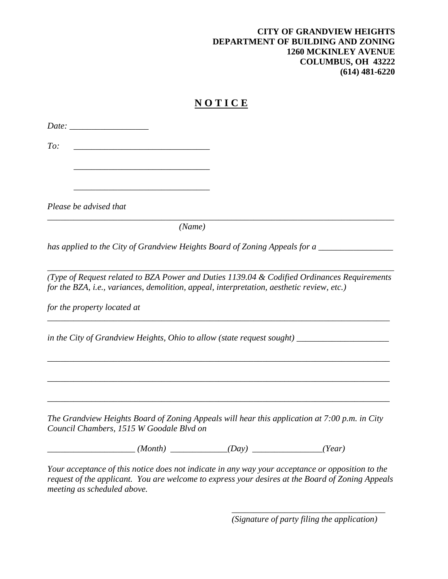### **CITY OF GRANDVIEW HEIGHTS DEPARTMENT OF BUILDING AND ZONING 1260 MCKINLEY AVENUE COLUMBUS, OH 43222 (614) 481-6220**

# **N O T I C E**

*Date: \_\_\_\_\_\_\_\_\_\_\_\_\_\_\_\_\_\_ To: \_\_\_\_\_\_\_\_\_\_\_\_\_\_\_\_\_\_\_\_\_\_\_\_\_\_\_\_\_\_\_*

*\_\_\_\_\_\_\_\_\_\_\_\_\_\_\_\_\_\_\_\_\_\_\_\_\_\_\_\_\_\_\_*

*\_\_\_\_\_\_\_\_\_\_\_\_\_\_\_\_\_\_\_\_\_\_\_\_\_\_\_\_\_\_\_*

*Please be advised that* 

*(Name)*

*has applied to the City of Grandview Heights Board of Zoning Appeals for a* 

*(Type of Request related to BZA Power and Duties 1139.04 & Codified Ordinances Requirements for the BZA, i.e., variances, demolition, appeal, interpretation, aesthetic review, etc.)*

*\_\_\_\_\_\_\_\_\_\_\_\_\_\_\_\_\_\_\_\_\_\_\_\_\_\_\_\_\_\_\_\_\_\_\_\_\_\_\_\_\_\_\_\_\_\_\_\_\_\_\_\_\_\_\_\_\_\_\_\_\_\_\_\_\_\_\_\_\_\_\_\_\_\_\_\_\_\_*

*\_\_\_\_\_\_\_\_\_\_\_\_\_\_\_\_\_\_\_\_\_\_\_\_\_\_\_\_\_\_\_\_\_\_\_\_\_\_\_\_\_\_\_\_\_\_\_\_\_\_\_\_\_\_\_\_\_\_\_\_\_\_\_\_\_\_\_\_\_\_\_\_\_\_\_\_\_\_*

\_\_\_\_\_\_\_\_\_\_\_\_\_\_\_\_\_\_\_\_\_\_\_\_\_\_\_\_\_\_\_\_\_\_\_\_\_\_\_\_\_\_\_\_\_\_\_\_\_\_\_\_\_\_\_\_\_\_\_\_\_\_\_\_\_\_\_\_\_\_\_\_\_\_\_\_\_\_

\_\_\_\_\_\_\_\_\_\_\_\_\_\_\_\_\_\_\_\_\_\_\_\_\_\_\_\_\_\_\_\_\_\_\_\_\_\_\_\_\_\_\_\_\_\_\_\_\_\_\_\_\_\_\_\_\_\_\_\_\_\_\_\_\_\_\_\_\_\_\_\_\_\_\_\_\_\_

*\_\_\_\_\_\_\_\_\_\_\_\_\_\_\_\_\_\_\_\_\_\_\_\_\_\_\_\_\_\_\_\_\_\_\_\_\_\_\_\_\_\_\_\_\_\_\_\_\_\_\_\_\_\_\_\_\_\_\_\_\_\_\_\_\_\_\_\_\_\_\_\_\_\_\_\_\_\_\_*

*\_\_\_\_\_\_\_\_\_\_\_\_\_\_\_\_\_\_\_\_\_\_\_\_\_\_\_\_\_\_\_\_\_\_\_\_\_\_\_\_\_\_\_\_\_\_\_\_\_\_\_\_\_\_\_\_\_\_\_\_\_\_\_\_\_\_\_\_\_\_\_\_\_\_\_\_\_\_\_*

*for the property located at* 

*in the City of Grandview Heights, Ohio to allow (state request sought) \_\_\_\_\_\_\_\_\_\_\_\_\_\_\_\_\_\_\_\_\_*

*The Grandview Heights Board of Zoning Appeals will hear this application at 7:00 p.m. in City Council Chambers, 1515 W Goodale Blvd on* 

*\_\_\_\_\_\_\_\_\_\_\_\_\_\_\_\_\_\_\_\_ (Month) \_\_\_\_\_\_\_\_\_\_\_\_\_(Day) \_\_\_\_\_\_\_\_\_\_\_\_\_\_\_\_(Year)*

*Your acceptance of this notice does not indicate in any way your acceptance or opposition to the request of the applicant. You are welcome to express your desires at the Board of Zoning Appeals meeting as scheduled above.*

> *\_\_\_\_\_\_\_\_\_\_\_\_\_\_\_\_\_\_\_\_\_\_\_\_\_\_\_\_\_\_\_\_\_\_\_ (Signature of party filing the application)*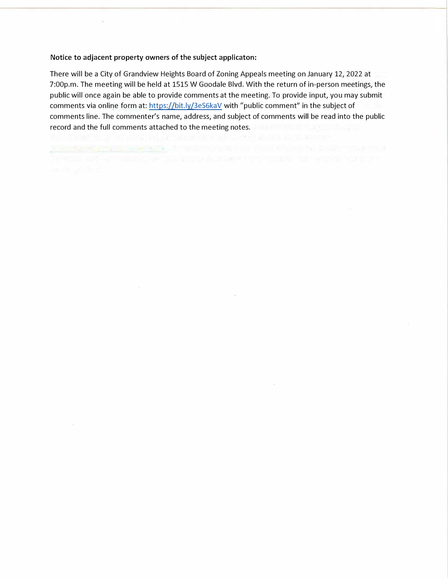There will be a City of Grandview Heights Board of Zoning Appeals meeting on January 12, 2022 at 7:00p.m. The meeting will be held at 1515 W Goodale Blvd. With the return of in-person meetings, the public will once again be able to provide comments at the meeting. To provide input, you may submit comments via online form at: https://bit.ly/3eS6kaV with "public comment" in the subject of comments line. The commenter's name, address, and subject of comments will be read into the public record and the full comments attached to the meeting notes.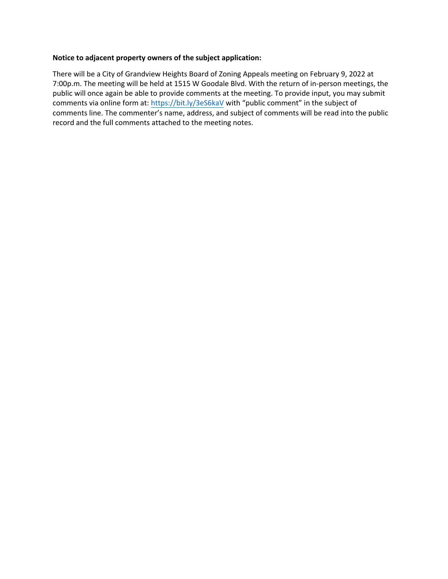There will be a City of Grandview Heights Board of Zoning Appeals meeting on February 9, 2022 at 7:00p.m. The meeting will be held at 1515 W Goodale Blvd. With the return of in-person meetings, the public will once again be able to provide comments at the meeting. To provide input, you may submit comments via online form at: <https://bit.ly/3eS6kaV> with "public comment" in the subject of comments line. The commenter's name, address, and subject of comments will be read into the public record and the full comments attached to the meeting notes.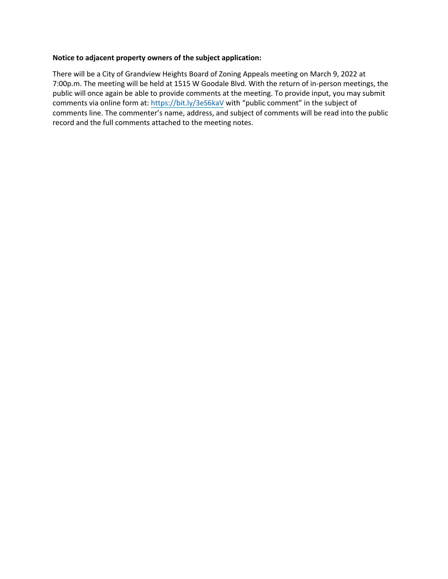There will be a City of Grandview Heights Board of Zoning Appeals meeting on March 9, 2022 at 7:00p.m. The meeting will be held at 1515 W Goodale Blvd. With the return of in-person meetings, the public will once again be able to provide comments at the meeting. To provide input, you may submit comments via online form at: <https://bit.ly/3eS6kaV> with "public comment" in the subject of comments line. The commenter's name, address, and subject of comments will be read into the public record and the full comments attached to the meeting notes.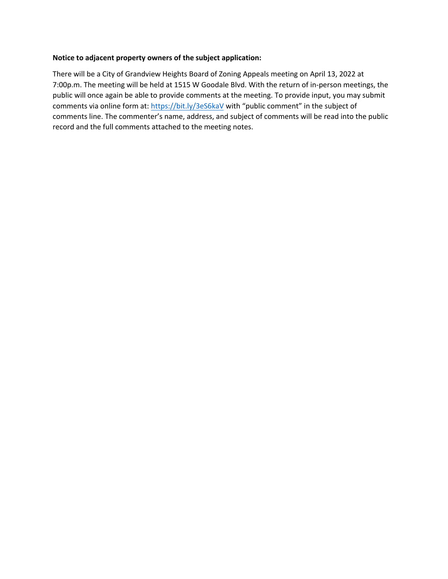There will be a City of Grandview Heights Board of Zoning Appeals meeting on April 13, 2022 at 7:00p.m. The meeting will be held at 1515 W Goodale Blvd. With the return of in-person meetings, the public will once again be able to provide comments at the meeting. To provide input, you may submit comments via online form at: <https://bit.ly/3eS6kaV> with "public comment" in the subject of comments line. The commenter's name, address, and subject of comments will be read into the public record and the full comments attached to the meeting notes.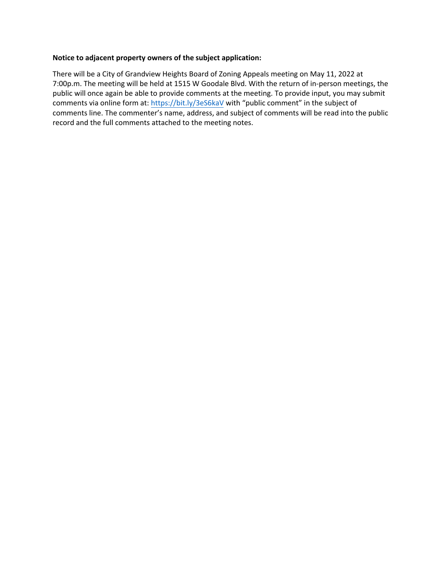There will be a City of Grandview Heights Board of Zoning Appeals meeting on May 11, 2022 at 7:00p.m. The meeting will be held at 1515 W Goodale Blvd. With the return of in-person meetings, the public will once again be able to provide comments at the meeting. To provide input, you may submit comments via online form at: <https://bit.ly/3eS6kaV> with "public comment" in the subject of comments line. The commenter's name, address, and subject of comments will be read into the public record and the full comments attached to the meeting notes.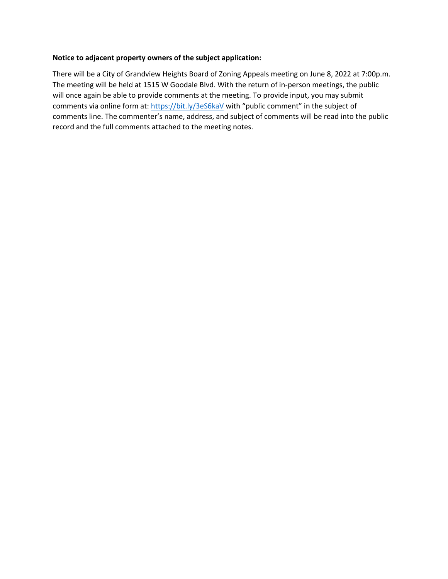There will be a City of Grandview Heights Board of Zoning Appeals meeting on June 8, 2022 at 7:00p.m. The meeting will be held at 1515 W Goodale Blvd. With the return of in-person meetings, the public will once again be able to provide comments at the meeting. To provide input, you may submit comments via online form at: <https://bit.ly/3eS6kaV> with "public comment" in the subject of comments line. The commenter's name, address, and subject of comments will be read into the public record and the full comments attached to the meeting notes.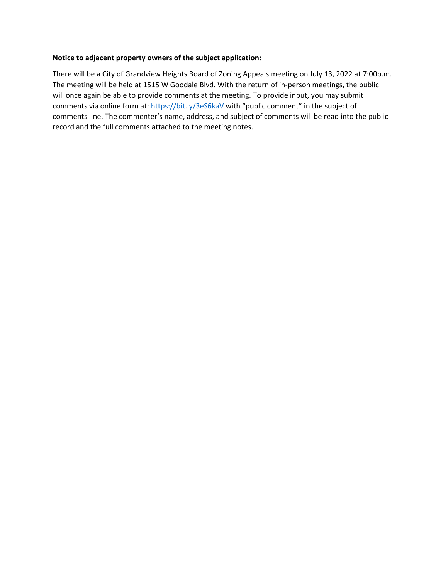There will be a City of Grandview Heights Board of Zoning Appeals meeting on July 13, 2022 at 7:00p.m. The meeting will be held at 1515 W Goodale Blvd. With the return of in-person meetings, the public will once again be able to provide comments at the meeting. To provide input, you may submit comments via online form at: <https://bit.ly/3eS6kaV> with "public comment" in the subject of comments line. The commenter's name, address, and subject of comments will be read into the public record and the full comments attached to the meeting notes.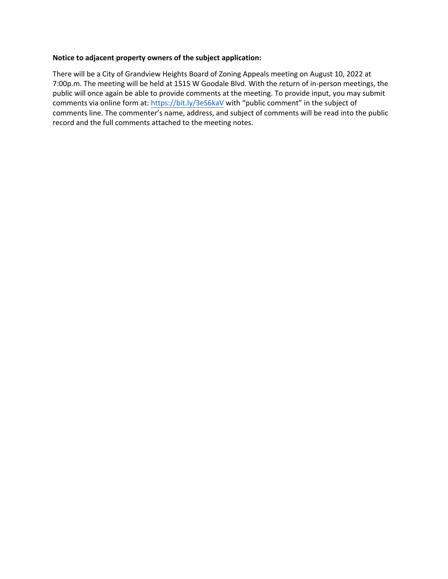There will be a City of Grandview Heights Board of Zoning Appeals meeting on August 10, 2022 at 7:00p.m. The meeting will be held at 1515 W Goodale Blvd. With the return of in-person meetings, the public will once again be able to provide comments at the meeting. To provide input, you may submit comments via online form at: <https://bit.ly/3eS6kaV> with "public comment" in the subject of comments line. The commenter's name, address, and subject of comments will be read into the public record and the full comments attached to the meeting notes.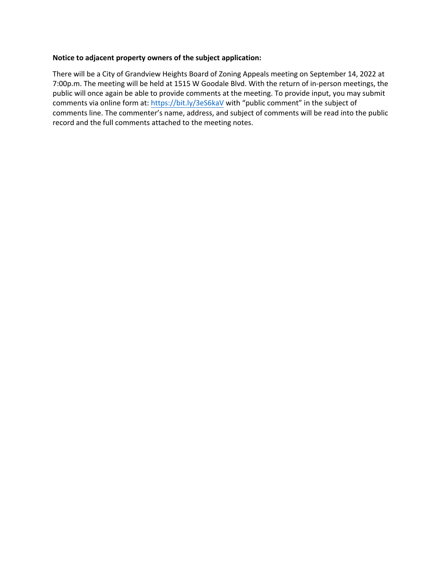There will be a City of Grandview Heights Board of Zoning Appeals meeting on September 14, 2022 at 7:00p.m. The meeting will be held at 1515 W Goodale Blvd. With the return of in-person meetings, the public will once again be able to provide comments at the meeting. To provide input, you may submit comments via online form at: <https://bit.ly/3eS6kaV> with "public comment" in the subject of comments line. The commenter's name, address, and subject of comments will be read into the public record and the full comments attached to the meeting notes.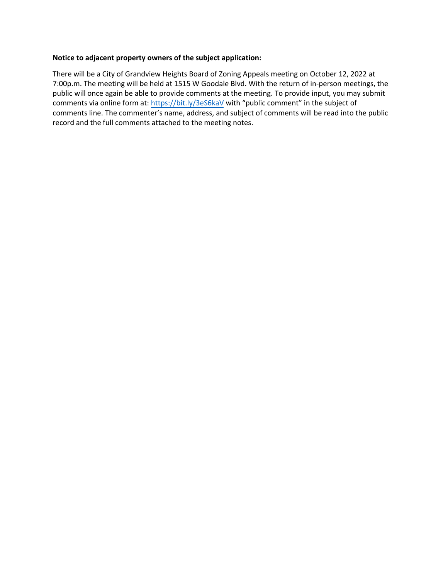There will be a City of Grandview Heights Board of Zoning Appeals meeting on October 12, 2022 at 7:00p.m. The meeting will be held at 1515 W Goodale Blvd. With the return of in-person meetings, the public will once again be able to provide comments at the meeting. To provide input, you may submit comments via online form at: <https://bit.ly/3eS6kaV> with "public comment" in the subject of comments line. The commenter's name, address, and subject of comments will be read into the public record and the full comments attached to the meeting notes.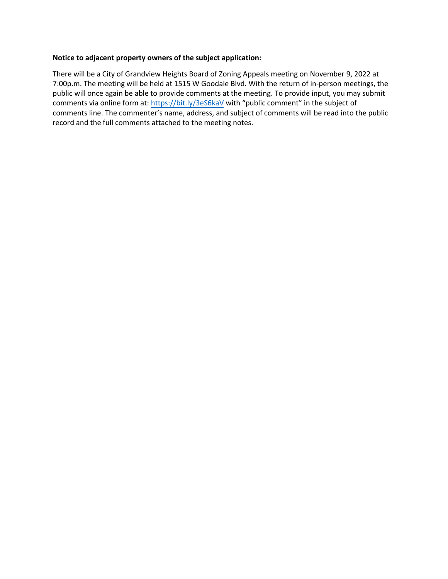There will be a City of Grandview Heights Board of Zoning Appeals meeting on November 9, 2022 at 7:00p.m. The meeting will be held at 1515 W Goodale Blvd. With the return of in-person meetings, the public will once again be able to provide comments at the meeting. To provide input, you may submit comments via online form at: <https://bit.ly/3eS6kaV> with "public comment" in the subject of comments line. The commenter's name, address, and subject of comments will be read into the public record and the full comments attached to the meeting notes.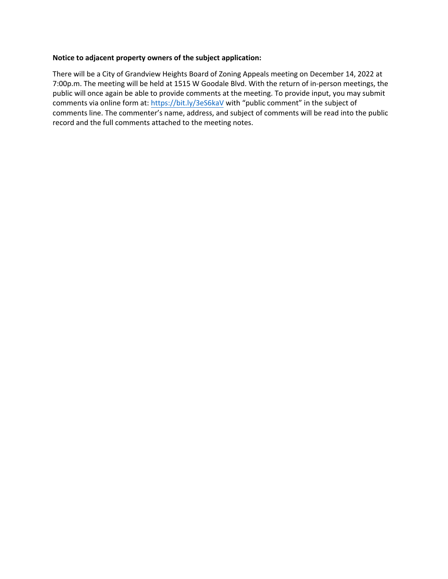There will be a City of Grandview Heights Board of Zoning Appeals meeting on December 14, 2022 at 7:00p.m. The meeting will be held at 1515 W Goodale Blvd. With the return of in-person meetings, the public will once again be able to provide comments at the meeting. To provide input, you may submit comments via online form at: <https://bit.ly/3eS6kaV> with "public comment" in the subject of comments line. The commenter's name, address, and subject of comments will be read into the public record and the full comments attached to the meeting notes.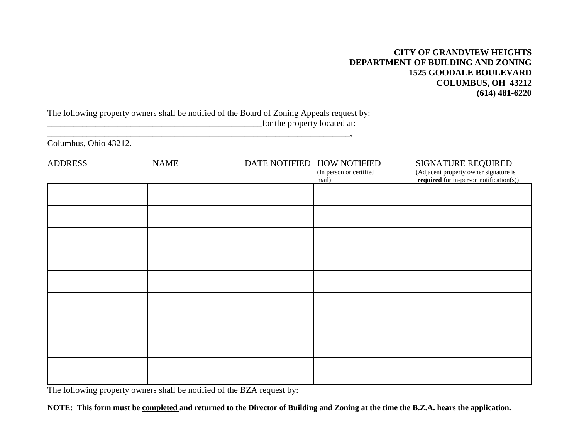### **CITY OF GRANDVIEW HEIGHTS DEPARTMENT OF BUILDING AND ZONING 1525 GOODALE BOULEVARD COLUMBUS, OH 43212 (614) 481-6220**

The following property owners shall be notified of the Board of Zoning Appeals request by: \_\_\_\_\_\_\_\_\_\_\_\_\_\_\_\_\_\_\_\_\_\_\_\_\_\_\_\_\_\_\_\_\_\_\_\_\_\_\_\_\_\_\_\_\_\_\_\_\_for the property located at:

\_\_\_\_\_\_\_\_\_\_\_\_\_\_\_\_\_\_\_\_\_\_\_\_\_\_\_\_\_\_\_\_\_\_\_\_\_\_\_\_\_\_\_\_\_\_\_\_\_\_\_\_\_\_\_\_\_\_\_\_\_\_\_\_\_\_\_\_\_,

Columbus, Ohio 43212.

| <b>ADDRESS</b> | <b>NAME</b> | DATE NOTIFIED HOW NOTIFIED<br>(In person or certified<br>mail) | SIGNATURE REQUIRED<br>(Adjacent property owner signature is<br><b>required</b> for in-person notification(s)) |
|----------------|-------------|----------------------------------------------------------------|---------------------------------------------------------------------------------------------------------------|
|                |             |                                                                |                                                                                                               |
|                |             |                                                                |                                                                                                               |
|                |             |                                                                |                                                                                                               |
|                |             |                                                                |                                                                                                               |
|                |             |                                                                |                                                                                                               |
|                |             |                                                                |                                                                                                               |
|                |             |                                                                |                                                                                                               |
|                |             |                                                                |                                                                                                               |
|                |             |                                                                |                                                                                                               |

The following property owners shall be notified of the BZA request by:

**NOTE: This form must be completed and returned to the Director of Building and Zoning at the time the B.Z.A. hears the application.**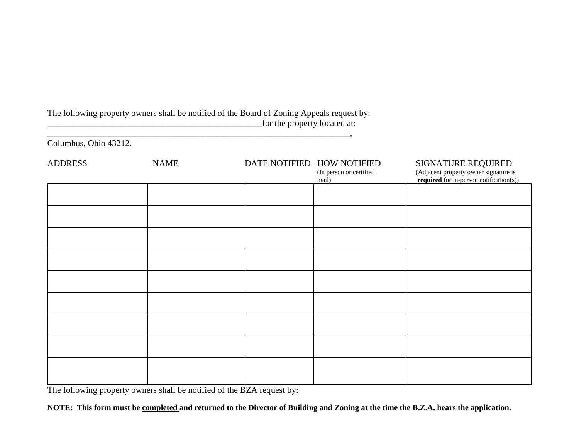The following property owners shall be notified of the Board of Zoning Appeals request by: \_\_\_\_\_\_\_\_\_\_\_\_\_\_\_\_\_\_\_\_\_\_\_\_\_\_\_\_\_\_\_\_\_\_\_\_\_\_\_\_\_\_\_\_\_\_\_\_\_for the property located at:

\_\_\_\_\_\_\_\_\_\_\_\_\_\_\_\_\_\_\_\_\_\_\_\_\_\_\_\_\_\_\_\_\_\_\_\_\_\_\_\_\_\_\_\_\_\_\_\_\_\_\_\_\_\_\_\_\_\_\_\_\_\_\_\_\_\_\_\_\_,

Columbus, Ohio 43212.

| <b>ADDRESS</b> | <b>NAME</b> | DATE NOTIFIED HOW NOTIFIED<br>(In person or certified<br>mail) | SIGNATURE REQUIRED<br>(Adjacent property owner signature is<br><b>required</b> for in-person notification(s)) |
|----------------|-------------|----------------------------------------------------------------|---------------------------------------------------------------------------------------------------------------|
|                |             |                                                                |                                                                                                               |
|                |             |                                                                |                                                                                                               |
|                |             |                                                                |                                                                                                               |
|                |             |                                                                |                                                                                                               |
|                |             |                                                                |                                                                                                               |
|                |             |                                                                |                                                                                                               |
|                |             |                                                                |                                                                                                               |
|                |             |                                                                |                                                                                                               |
|                |             |                                                                |                                                                                                               |

The following property owners shall be notified of the BZA request by:

**NOTE: This form must be completed and returned to the Director of Building and Zoning at the time the B.Z.A. hears the application.**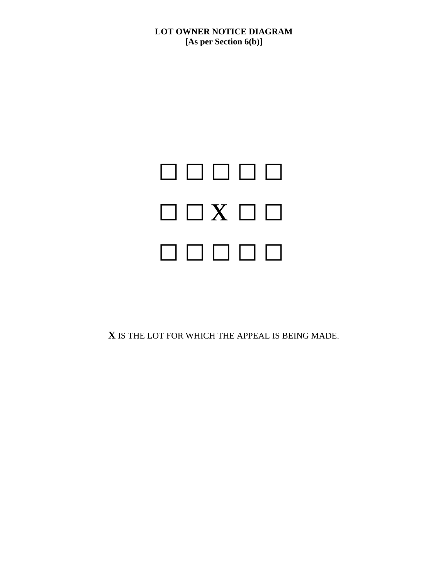**LOT OWNER NOTICE DIAGRAM [As per Section 6(b)]**



**X** IS THE LOT FOR WHICH THE APPEAL IS BEING MADE.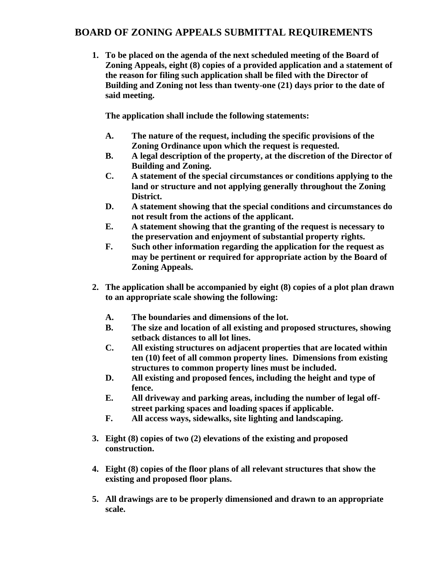# **BOARD OF ZONING APPEALS SUBMITTAL REQUIREMENTS**

**1. To be placed on the agenda of the next scheduled meeting of the Board of Zoning Appeals, eight (8) copies of a provided application and a statement of the reason for filing such application shall be filed with the Director of Building and Zoning not less than twenty-one (21) days prior to the date of said meeting.**

**The application shall include the following statements:**

- **A. The nature of the request, including the specific provisions of the Zoning Ordinance upon which the request is requested.**
- **B. A legal description of the property, at the discretion of the Director of Building and Zoning.**
- **C. A statement of the special circumstances or conditions applying to the land or structure and not applying generally throughout the Zoning District.**
- **D. A statement showing that the special conditions and circumstances do not result from the actions of the applicant.**
- **E. A statement showing that the granting of the request is necessary to the preservation and enjoyment of substantial property rights.**
- **F. Such other information regarding the application for the request as may be pertinent or required for appropriate action by the Board of Zoning Appeals.**
- **2. The application shall be accompanied by eight (8) copies of a plot plan drawn to an appropriate scale showing the following:**
	- **A. The boundaries and dimensions of the lot.**
	- **B. The size and location of all existing and proposed structures, showing setback distances to all lot lines.**
	- **C. All existing structures on adjacent properties that are located within ten (10) feet of all common property lines. Dimensions from existing structures to common property lines must be included.**
	- **D. All existing and proposed fences, including the height and type of fence.**
	- **E. All driveway and parking areas, including the number of legal offstreet parking spaces and loading spaces if applicable.**
	- **F. All access ways, sidewalks, site lighting and landscaping.**
- **3. Eight (8) copies of two (2) elevations of the existing and proposed construction.**
- **4. Eight (8) copies of the floor plans of all relevant structures that show the existing and proposed floor plans.**
- **5. All drawings are to be properly dimensioned and drawn to an appropriate scale.**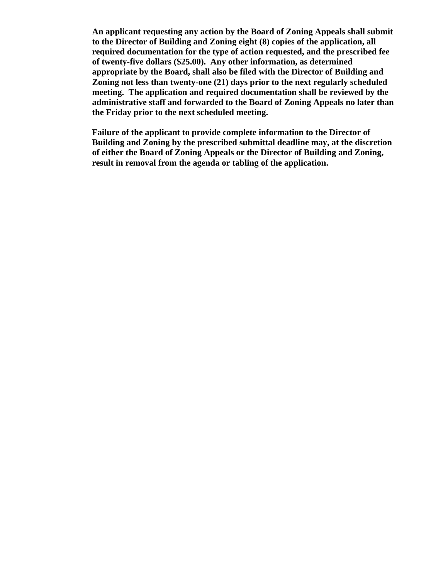**An applicant requesting any action by the Board of Zoning Appeals shall submit to the Director of Building and Zoning eight (8) copies of the application, all required documentation for the type of action requested, and the prescribed fee of twenty-five dollars (\$25.00). Any other information, as determined appropriate by the Board, shall also be filed with the Director of Building and Zoning not less than twenty-one (21) days prior to the next regularly scheduled meeting. The application and required documentation shall be reviewed by the administrative staff and forwarded to the Board of Zoning Appeals no later than the Friday prior to the next scheduled meeting.**

**Failure of the applicant to provide complete information to the Director of Building and Zoning by the prescribed submittal deadline may, at the discretion of either the Board of Zoning Appeals or the Director of Building and Zoning, result in removal from the agenda or tabling of the application.**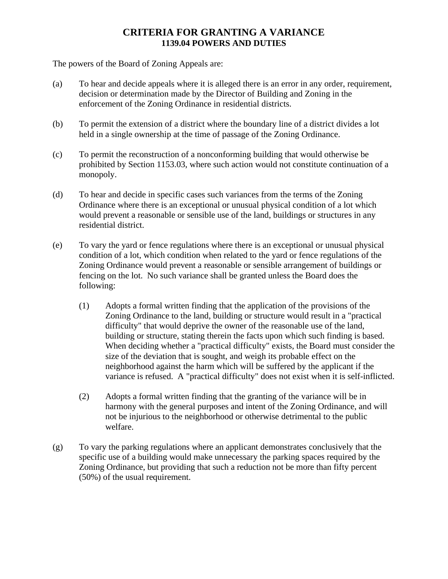# **CRITERIA FOR GRANTING A VARIANCE 1139.04 POWERS AND DUTIES**

The powers of the Board of Zoning Appeals are:

- (a) To hear and decide appeals where it is alleged there is an error in any order, requirement, decision or determination made by the Director of Building and Zoning in the enforcement of the Zoning Ordinance in residential districts.
- (b) To permit the extension of a district where the boundary line of a district divides a lot held in a single ownership at the time of passage of the Zoning Ordinance.
- (c) To permit the reconstruction of a nonconforming building that would otherwise be prohibited by Section 1153.03, where such action would not constitute continuation of a monopoly.
- (d) To hear and decide in specific cases such variances from the terms of the Zoning Ordinance where there is an exceptional or unusual physical condition of a lot which would prevent a reasonable or sensible use of the land, buildings or structures in any residential district.
- (e) To vary the yard or fence regulations where there is an exceptional or unusual physical condition of a lot, which condition when related to the yard or fence regulations of the Zoning Ordinance would prevent a reasonable or sensible arrangement of buildings or fencing on the lot. No such variance shall be granted unless the Board does the following:
	- (1) Adopts a formal written finding that the application of the provisions of the Zoning Ordinance to the land, building or structure would result in a "practical difficulty" that would deprive the owner of the reasonable use of the land, building or structure, stating therein the facts upon which such finding is based. When deciding whether a "practical difficulty" exists, the Board must consider the size of the deviation that is sought, and weigh its probable effect on the neighborhood against the harm which will be suffered by the applicant if the variance is refused. A "practical difficulty" does not exist when it is self-inflicted.
	- (2) Adopts a formal written finding that the granting of the variance will be in harmony with the general purposes and intent of the Zoning Ordinance, and will not be injurious to the neighborhood or otherwise detrimental to the public welfare.
- (g) To vary the parking regulations where an applicant demonstrates conclusively that the specific use of a building would make unnecessary the parking spaces required by the Zoning Ordinance, but providing that such a reduction not be more than fifty percent (50%) of the usual requirement.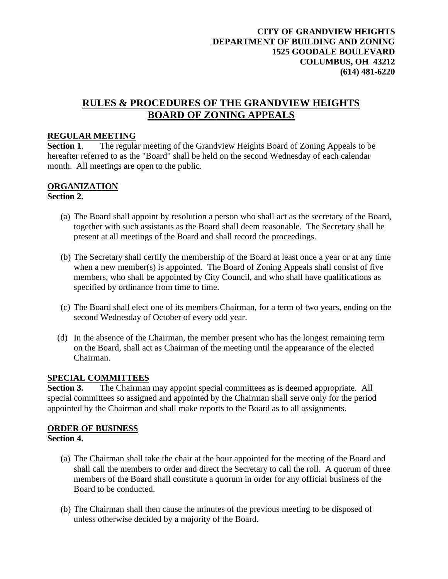# **RULES & PROCEDURES OF THE GRANDVIEW HEIGHTS BOARD OF ZONING APPEALS**

### **REGULAR MEETING**

**Section 1**. The regular meeting of the Grandview Heights Board of Zoning Appeals to be hereafter referred to as the "Board" shall be held on the second Wednesday of each calendar month. All meetings are open to the public.

### **ORGANIZATION Section 2.**

- (a) The Board shall appoint by resolution a person who shall act as the secretary of the Board, together with such assistants as the Board shall deem reasonable. The Secretary shall be present at all meetings of the Board and shall record the proceedings.
- (b) The Secretary shall certify the membership of the Board at least once a year or at any time when a new member(s) is appointed. The Board of Zoning Appeals shall consist of five members, who shall be appointed by City Council, and who shall have qualifications as specified by ordinance from time to time.
- (c) The Board shall elect one of its members Chairman, for a term of two years, ending on the second Wednesday of October of every odd year.
- (d) In the absence of the Chairman, the member present who has the longest remaining term on the Board, shall act as Chairman of the meeting until the appearance of the elected Chairman.

### **SPECIAL COMMITTEES**

**Section 3.** The Chairman may appoint special committees as is deemed appropriate. All special committees so assigned and appointed by the Chairman shall serve only for the period appointed by the Chairman and shall make reports to the Board as to all assignments.

### **ORDER OF BUSINESS Section 4.**

- - (a) The Chairman shall take the chair at the hour appointed for the meeting of the Board and shall call the members to order and direct the Secretary to call the roll. A quorum of three members of the Board shall constitute a quorum in order for any official business of the Board to be conducted.
	- (b) The Chairman shall then cause the minutes of the previous meeting to be disposed of unless otherwise decided by a majority of the Board.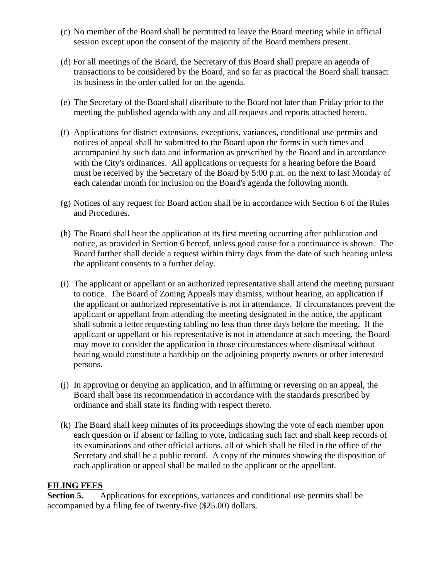- (c) No member of the Board shall be permitted to leave the Board meeting while in official session except upon the consent of the majority of the Board members present.
- (d) For all meetings of the Board, the Secretary of this Board shall prepare an agenda of transactions to be considered by the Board, and so far as practical the Board shall transact its business in the order called for on the agenda.
- (e) The Secretary of the Board shall distribute to the Board not later than Friday prior to the meeting the published agenda with any and all requests and reports attached hereto.
- (f) Applications for district extensions, exceptions, variances, conditional use permits and notices of appeal shall be submitted to the Board upon the forms in such times and accompanied by such data and information as prescribed by the Board and in accordance with the City's ordinances. All applications or requests for a hearing before the Board must be received by the Secretary of the Board by 5:00 p.m. on the next to last Monday of each calendar month for inclusion on the Board's agenda the following month.
- (g) Notices of any request for Board action shall be in accordance with Section 6 of the Rules and Procedures.
- (h) The Board shall hear the application at its first meeting occurring after publication and notice, as provided in Section 6 hereof, unless good cause for a continuance is shown. The Board further shall decide a request within thirty days from the date of such hearing unless the applicant consents to a further delay.
- (i) The applicant or appellant or an authorized representative shall attend the meeting pursuant to notice. The Board of Zoning Appeals may dismiss, without hearing, an application if the applicant or authorized representative is not in attendance. If circumstances prevent the applicant or appellant from attending the meeting designated in the notice, the applicant shall submit a letter requesting tabling no less than three days before the meeting. If the applicant or appellant or his representative is not in attendance at such meeting, the Board may move to consider the application in those circumstances where dismissal without hearing would constitute a hardship on the adjoining property owners or other interested persons.
- (j) In approving or denying an application, and in affirming or reversing on an appeal, the Board shall base its recommendation in accordance with the standards prescribed by ordinance and shall state its finding with respect thereto.
- (k) The Board shall keep minutes of its proceedings showing the vote of each member upon each question or if absent or failing to vote, indicating such fact and shall keep records of its examinations and other official actions, all of which shall be filed in the office of the Secretary and shall be a public record. A copy of the minutes showing the disposition of each application or appeal shall be mailed to the applicant or the appellant.

# **FILING FEES**<br>**Section 5.**

Applications for exceptions, variances and conditional use permits shall be accompanied by a filing fee of twenty-five (\$25.00) dollars.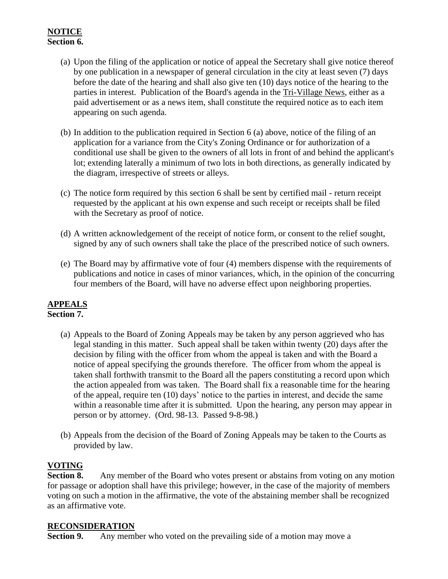# **NOTICE Section 6.**

- (a) Upon the filing of the application or notice of appeal the Secretary shall give notice thereof by one publication in a newspaper of general circulation in the city at least seven (7) days before the date of the hearing and shall also give ten (10) days notice of the hearing to the parties in interest. Publication of the Board's agenda in the Tri-Village News, either as a paid advertisement or as a news item, shall constitute the required notice as to each item appearing on such agenda.
- (b) In addition to the publication required in Section 6 (a) above, notice of the filing of an application for a variance from the City's Zoning Ordinance or for authorization of a conditional use shall be given to the owners of all lots in front of and behind the applicant's lot; extending laterally a minimum of two lots in both directions, as generally indicated by the diagram, irrespective of streets or alleys.
- (c) The notice form required by this section 6 shall be sent by certified mail return receipt requested by the applicant at his own expense and such receipt or receipts shall be filed with the Secretary as proof of notice.
- (d) A written acknowledgement of the receipt of notice form, or consent to the relief sought, signed by any of such owners shall take the place of the prescribed notice of such owners.
- (e) The Board may by affirmative vote of four (4) members dispense with the requirements of publications and notice in cases of minor variances, which, in the opinion of the concurring four members of the Board, will have no adverse effect upon neighboring properties.

### **APPEALS Section 7.**

- - (a) Appeals to the Board of Zoning Appeals may be taken by any person aggrieved who has legal standing in this matter. Such appeal shall be taken within twenty (20) days after the decision by filing with the officer from whom the appeal is taken and with the Board a notice of appeal specifying the grounds therefore. The officer from whom the appeal is taken shall forthwith transmit to the Board all the papers constituting a record upon which the action appealed from was taken. The Board shall fix a reasonable time for the hearing of the appeal, require ten (10) days' notice to the parties in interest, and decide the same within a reasonable time after it is submitted. Upon the hearing, any person may appear in person or by attorney. (Ord. 98-13. Passed 9-8-98.)
	- (b) Appeals from the decision of the Board of Zoning Appeals may be taken to the Courts as provided by law.

# **VOTING**

**Section 8.** Any member of the Board who votes present or abstains from voting on any motion for passage or adoption shall have this privilege; however, in the case of the majority of members voting on such a motion in the affirmative, the vote of the abstaining member shall be recognized as an affirmative vote.

### **RECONSIDERATION**

**Section 9.** Any member who voted on the prevailing side of a motion may move a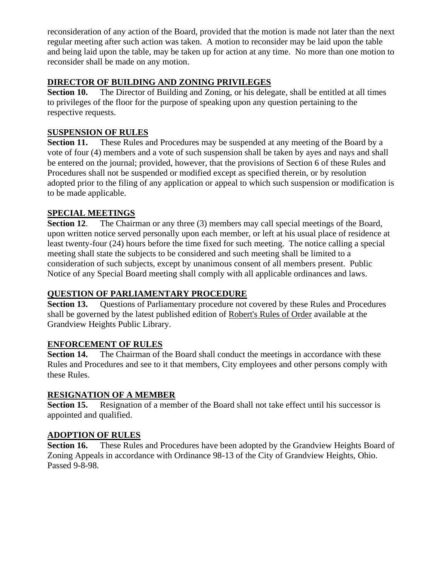reconsideration of any action of the Board, provided that the motion is made not later than the next regular meeting after such action was taken. A motion to reconsider may be laid upon the table and being laid upon the table, may be taken up for action at any time. No more than one motion to reconsider shall be made on any motion.

# **DIRECTOR OF BUILDING AND ZONING PRIVILEGES**

**Section 10.** The Director of Building and Zoning, or his delegate, shall be entitled at all times to privileges of the floor for the purpose of speaking upon any question pertaining to the respective requests.

# **SUSPENSION OF RULES**

**Section 11.** These Rules and Procedures may be suspended at any meeting of the Board by a vote of four (4) members and a vote of such suspension shall be taken by ayes and nays and shall be entered on the journal; provided, however, that the provisions of Section 6 of these Rules and Procedures shall not be suspended or modified except as specified therein, or by resolution adopted prior to the filing of any application or appeal to which such suspension or modification is to be made applicable.

# **SPECIAL MEETINGS**

**Section 12.** The Chairman or any three (3) members may call special meetings of the Board, upon written notice served personally upon each member, or left at his usual place of residence at least twenty-four (24) hours before the time fixed for such meeting. The notice calling a special meeting shall state the subjects to be considered and such meeting shall be limited to a consideration of such subjects, except by unanimous consent of all members present. Public Notice of any Special Board meeting shall comply with all applicable ordinances and laws.

## **QUESTION OF PARLIAMENTARY PROCEDURE**

**Section 13.** Questions of Parliamentary procedure not covered by these Rules and Procedures shall be governed by the latest published edition of Robert's Rules of Order available at the Grandview Heights Public Library.

### **ENFORCEMENT OF RULES**

**Section 14.** The Chairman of the Board shall conduct the meetings in accordance with these Rules and Procedures and see to it that members, City employees and other persons comply with these Rules.

### **RESIGNATION OF A MEMBER**

**Section 15.** Resignation of a member of the Board shall not take effect until his successor is appointed and qualified.

# **ADOPTION OF RULES**

**Section 16.** These Rules and Procedures have been adopted by the Grandview Heights Board of Zoning Appeals in accordance with Ordinance 98-13 of the City of Grandview Heights, Ohio. Passed 9-8-98.